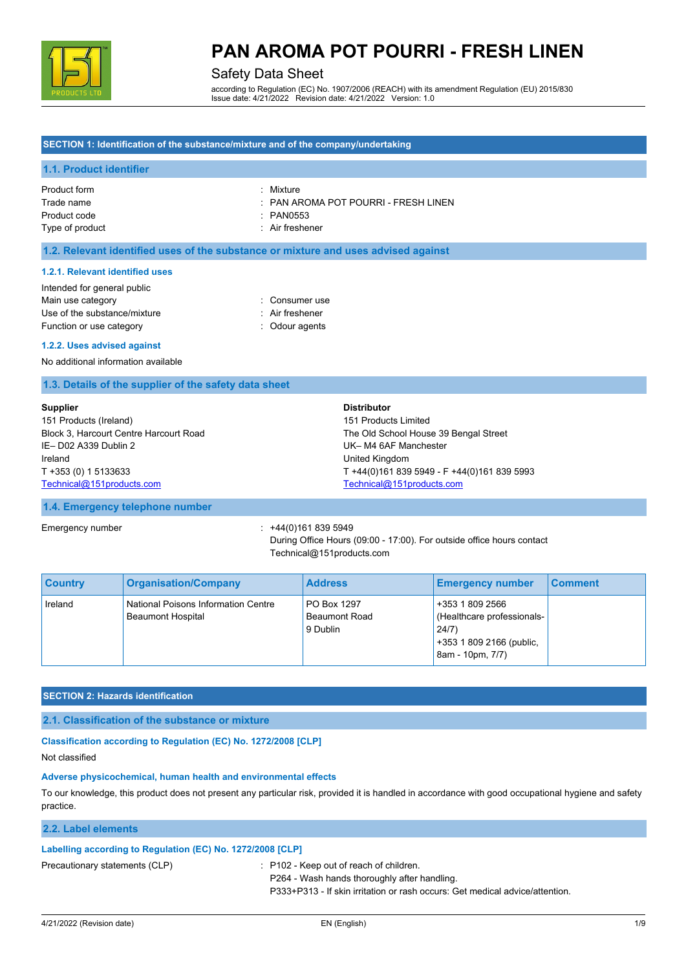

## Safety Data Sheet

according to Regulation (EC) No. 1907/2006 (REACH) with its amendment Regulation (EU) 2015/830 Issue date: 4/21/2022 Revision date: 4/21/2022 Version: 1.0

### **SECTION 1: Identification of the substance/mixture and of the company/undertaking**

### **1.1. Product identifier**

Product form : Nixture : Mixture Product code : PAN0553 Type of product in the set of the set of the set of the set of the set of the set of the set of the set of the set of the set of the set of the set of the set of the set of the set of the set of the set of the set of the s

Trade name : PAN AROMA POT POURRI - FRESH LINEN

#### **1.2. Relevant identified uses of the substance or mixture and uses advised against**

#### **1.2.1. Relevant identified uses**

| Intended for general public  |                 |
|------------------------------|-----------------|
| Main use category            | : Consumer use  |
| Use of the substance/mixture | : Air freshener |
| Function or use category     | : Odour agents  |

#### **1.2.2. Uses advised against**

No additional information available

#### **1.3. Details of the supplier of the safety data sheet**

| <b>Supplier</b>                        | <b>Distributor</b>                          |
|----------------------------------------|---------------------------------------------|
| 151 Products (Ireland)                 | 151 Products Limited                        |
| Block 3, Harcourt Centre Harcourt Road | The Old School House 39 Bengal Street       |
| IE-D02 A339 Dublin 2                   | UK-M4 6AF Manchester                        |
| Ireland                                | United Kingdom                              |
| T +353 (0) 1 5133633                   | T +44(0)161 839 5949 - F +44(0)161 839 5993 |
| Technical@151products.com              | Technical@151products.com                   |

#### **1.4. Emergency telephone number**

Emergency number : +44(0)161 839 5949 During Office Hours (09:00 - 17:00). For outside office hours contact Technical@151products.com

| <b>Country</b> | <b>Organisation/Company</b>                                     | <b>Address</b>                                  | <b>Emergency number</b>                                                                                 | <b>Comment</b> |
|----------------|-----------------------------------------------------------------|-------------------------------------------------|---------------------------------------------------------------------------------------------------------|----------------|
| Ireland        | National Poisons Information Centre<br><b>Beaumont Hospital</b> | PO Box 1297<br><b>Beaumont Road</b><br>9 Dublin | +353 1 809 2566<br>(Healthcare professionals-)<br>24/7)<br>+353 1 809 2166 (public,<br>8am - 10pm, 7/7) |                |

#### **SECTION 2: Hazards identification**

#### **2.1. Classification of the substance or mixture**

#### **Classification according to Regulation (EC) No. 1272/2008 [CLP]**

Not classified

#### **Adverse physicochemical, human health and environmental effects**

To our knowledge, this product does not present any particular risk, provided it is handled in accordance with good occupational hygiene and safety practice.

#### **2.2. Label elements**

### **Labelling according to Regulation (EC) No. 1272/2008 [CLP]**

Precautionary statements (CLP) : P102 - Keep out of reach of children.

P264 - Wash hands thoroughly after handling.

P333+P313 - If skin irritation or rash occurs: Get medical advice/attention.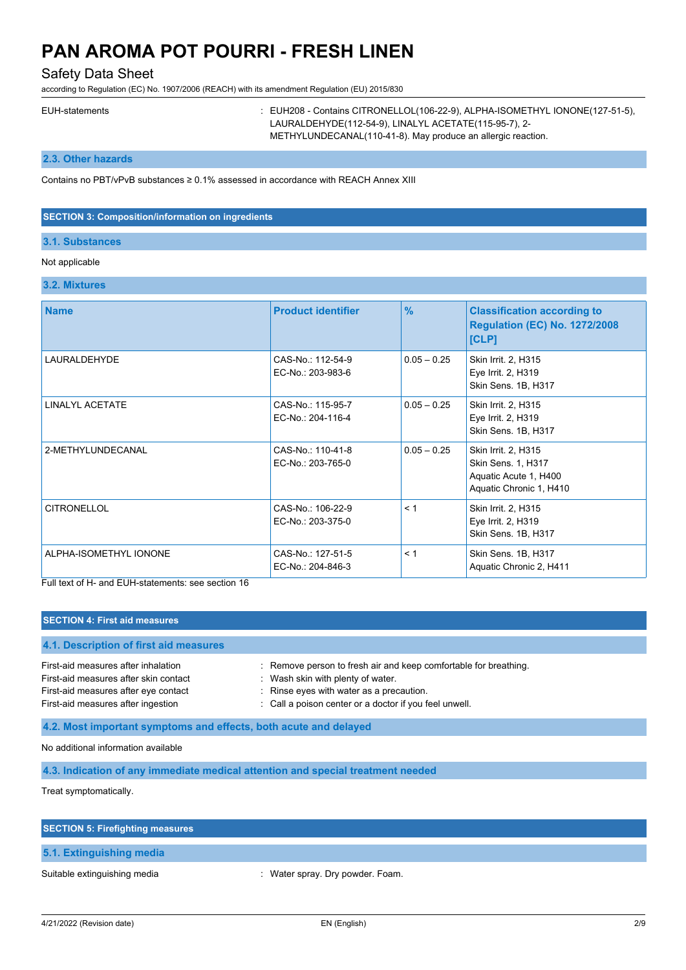Safety Data Sheet

according to Regulation (EC) No. 1907/2006 (REACH) with its amendment Regulation (EU) 2015/830

EUH-statements : EUH208 - Contains CITRONELLOL(106-22-9), ALPHA-ISOMETHYL IONONE(127-51-5), LAURALDEHYDE(112-54-9), LINALYL ACETATE(115-95-7), 2- METHYLUNDECANAL(110-41-8). May produce an allergic reaction.

**2.3. Other hazards**

Contains no PBT/vPvB substances ≥ 0.1% assessed in accordance with REACH Annex XIII

#### **SECTION 3: Composition/information on ingredients**

### **3.1. Substances**

## Not applicable

### **3.2. Mixtures**

| <b>Name</b>            | <b>Product identifier</b>              | $\frac{9}{6}$ | <b>Classification according to</b><br><b>Regulation (EC) No. 1272/2008</b><br>[CLP]           |
|------------------------|----------------------------------------|---------------|-----------------------------------------------------------------------------------------------|
| LAURALDEHYDE           | CAS-No.: 112-54-9<br>EC-No.: 203-983-6 | $0.05 - 0.25$ | Skin Irrit. 2, H315<br>Eye Irrit. 2, H319<br>Skin Sens. 1B, H317                              |
| <b>LINALYL ACETATE</b> | CAS-No.: 115-95-7<br>EC-No.: 204-116-4 | $0.05 - 0.25$ | Skin Irrit. 2, H315<br>Eye Irrit. 2, H319<br>Skin Sens. 1B, H317                              |
| 2-METHYLUNDECANAL      | CAS-No.: 110-41-8<br>EC-No.: 203-765-0 | $0.05 - 0.25$ | Skin Irrit. 2, H315<br>Skin Sens. 1, H317<br>Aquatic Acute 1, H400<br>Aquatic Chronic 1, H410 |
| <b>CITRONELLOL</b>     | CAS-No.: 106-22-9<br>EC-No.: 203-375-0 | < 1           | Skin Irrit. 2, H315<br>Eye Irrit. 2, H319<br>Skin Sens. 1B, H317                              |
| ALPHA-ISOMETHYL IONONE | CAS-No.: 127-51-5<br>EC-No.: 204-846-3 | < 1           | Skin Sens. 1B, H317<br>Aquatic Chronic 2, H411                                                |

Full text of H- and EUH-statements: see section 16

#### **SECTION 4: First aid measures**

# **4.1. Description of first aid measures** First-aid measures after inhalation : Remove person to fresh air and keep comfortable for breathing. First-aid measures after skin contact : Wash skin with plenty of water. First-aid measures after eye contact : Rinse eyes with water as a precaution. First-aid measures after ingestion : Call a poison center or a doctor if you feel unwell.

**4.2. Most important symptoms and effects, both acute and delayed**

No additional information available

**4.3. Indication of any immediate medical attention and special treatment needed**

Treat symptomatically.

| <b>SECTION 5: Firefighting measures</b> |                                  |
|-----------------------------------------|----------------------------------|
| 5.1. Extinguishing media                |                                  |
| Suitable extinguishing media            | : Water spray. Dry powder. Foam. |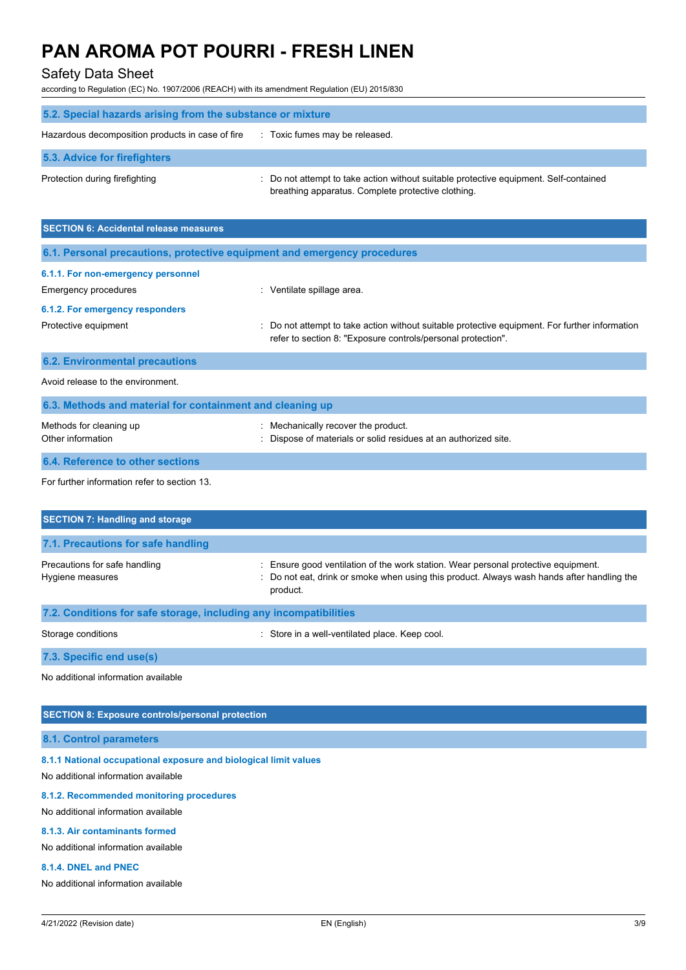# Safety Data Sheet

according to Regulation (EC) No. 1907/2006 (REACH) with its amendment Regulation (EU) 2015/830

| 5.2. Special hazards arising from the substance or mixture |                                                                                                                                             |  |
|------------------------------------------------------------|---------------------------------------------------------------------------------------------------------------------------------------------|--|
| Hazardous decomposition products in case of fire           | : Toxic fumes may be released.                                                                                                              |  |
| 5.3. Advice for firefighters                               |                                                                                                                                             |  |
| Protection during firefighting                             | : Do not attempt to take action without suitable protective equipment. Self-contained<br>breathing apparatus. Complete protective clothing. |  |

| <b>SECTION 6: Accidental release measures</b>                            |                                                                                                                                                                |  |  |
|--------------------------------------------------------------------------|----------------------------------------------------------------------------------------------------------------------------------------------------------------|--|--|
| 6.1. Personal precautions, protective equipment and emergency procedures |                                                                                                                                                                |  |  |
| 6.1.1. For non-emergency personnel                                       |                                                                                                                                                                |  |  |
| Emergency procedures                                                     | : Ventilate spillage area.                                                                                                                                     |  |  |
| 6.1.2. For emergency responders                                          |                                                                                                                                                                |  |  |
| Protective equipment                                                     | : Do not attempt to take action without suitable protective equipment. For further information<br>refer to section 8: "Exposure controls/personal protection". |  |  |
| <b>6.2. Environmental precautions</b>                                    |                                                                                                                                                                |  |  |
| Avoid release to the environment.                                        |                                                                                                                                                                |  |  |
| 6.3. Methods and material for containment and cleaning up                |                                                                                                                                                                |  |  |
| Methods for cleaning up<br>Other information                             | : Mechanically recover the product.<br>: Dispose of materials or solid residues at an authorized site.                                                         |  |  |
| 6.4. Reference to other sections                                         |                                                                                                                                                                |  |  |
|                                                                          |                                                                                                                                                                |  |  |

For further information refer to section 13.

| <b>SECTION 7: Handling and storage</b>                            |                                                                                                                                                                                              |  |  |
|-------------------------------------------------------------------|----------------------------------------------------------------------------------------------------------------------------------------------------------------------------------------------|--|--|
| 7.1. Precautions for safe handling                                |                                                                                                                                                                                              |  |  |
| Precautions for safe handling<br>Hygiene measures                 | : Ensure good ventilation of the work station. Wear personal protective equipment.<br>: Do not eat, drink or smoke when using this product. Always wash hands after handling the<br>product. |  |  |
| 7.2. Conditions for safe storage, including any incompatibilities |                                                                                                                                                                                              |  |  |
| Storage conditions                                                | Store in a well-ventilated place. Keep cool.                                                                                                                                                 |  |  |

**7.3. Specific end use(s)**

No additional information available

## **SECTION 8: Exposure controls/personal protection**

**8.1. Control parameters**

**8.1.1 National occupational exposure and biological limit values**

No additional information available

#### **8.1.2. Recommended monitoring procedures**

No additional information available

#### **8.1.3. Air contaminants formed**

No additional information available

#### **8.1.4. DNEL and PNEC**

No additional information available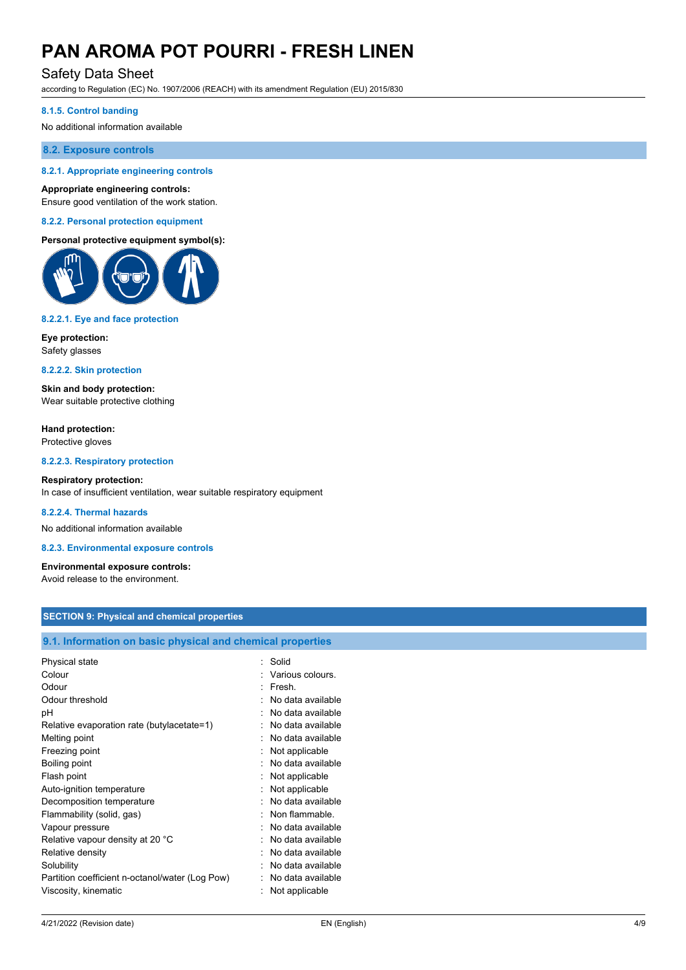## Safety Data Sheet

according to Regulation (EC) No. 1907/2006 (REACH) with its amendment Regulation (EU) 2015/830

#### **8.1.5. Control banding**

No additional information available

### **8.2. Exposure controls**

### **8.2.1. Appropriate engineering controls**

#### **Appropriate engineering controls:**

Ensure good ventilation of the work station.

#### **8.2.2. Personal protection equipment**

#### **Personal protective equipment symbol(s):**



#### **8.2.2.1. Eye and face protection**

**Eye protection:** Safety glasses

#### **8.2.2.2. Skin protection**

**Skin and body protection:** Wear suitable protective clothing

**Hand protection:** Protective gloves

**8.2.2.3. Respiratory protection**

#### **Respiratory protection:** In case of insufficient ventilation, wear suitable respiratory equipment

#### **8.2.2.4. Thermal hazards**

No additional information available

**8.2.3. Environmental exposure controls**

## **Environmental exposure controls:**

Avoid release to the environment.

### **SECTION 9: Physical and chemical properties**

### **9.1. Information on basic physical and chemical properties**

| Physical state                                  | Solid             |
|-------------------------------------------------|-------------------|
| Colour                                          | Various colours.  |
| Odour                                           | Fresh.            |
| Odour threshold                                 | No data available |
| рH                                              | No data available |
| Relative evaporation rate (butylacetate=1)      | No data available |
| Melting point                                   | No data available |
| Freezing point                                  | Not applicable    |
| Boiling point                                   | No data available |
| Flash point                                     | Not applicable    |
| Auto-ignition temperature                       | Not applicable    |
| Decomposition temperature                       | No data available |
| Flammability (solid, gas)                       | Non flammable.    |
| Vapour pressure                                 | No data available |
| Relative vapour density at 20 °C                | No data available |
| Relative density                                | No data available |
| Solubility                                      | No data available |
| Partition coefficient n-octanol/water (Log Pow) | No data available |
| Viscosity, kinematic                            | Not applicable    |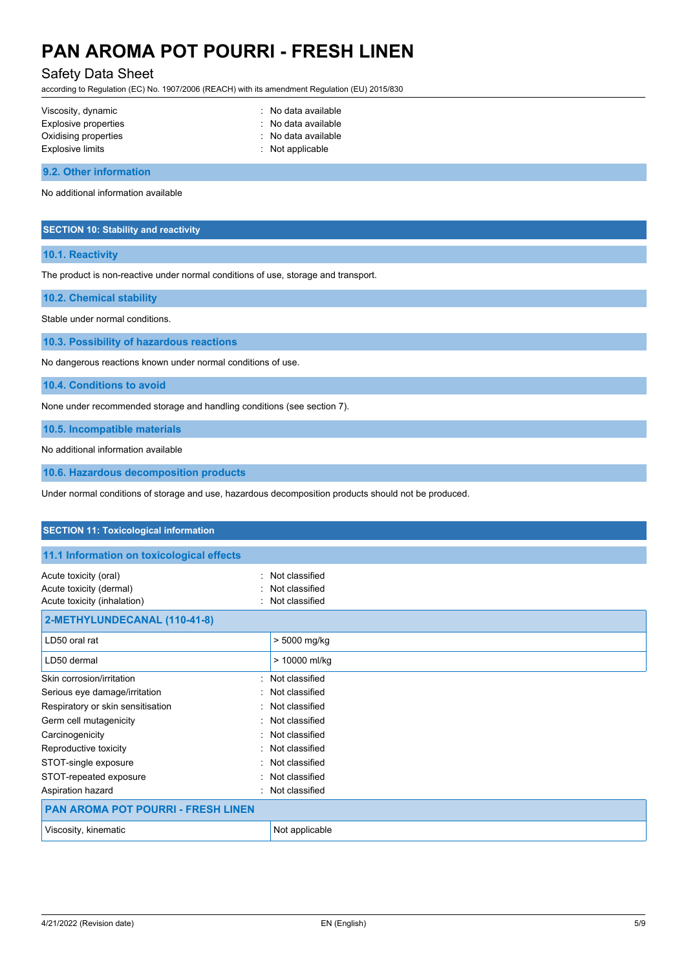## Safety Data Sheet

according to Regulation (EC) No. 1907/2006 (REACH) with its amendment Regulation (EU) 2015/830

| Viscosity, dynamic   | : No data available         |
|----------------------|-----------------------------|
| Explosive properties | : No data available         |
| Oxidising properties | : No data available         |
| Explosive limits     | $\therefore$ Not applicable |
|                      |                             |

**9.2. Other information**

No additional information available

#### **SECTION 10: Stability and reactivity**

#### **10.1. Reactivity**

The product is non-reactive under normal conditions of use, storage and transport.

**10.2. Chemical stability**

Stable under normal conditions.

**10.3. Possibility of hazardous reactions**

No dangerous reactions known under normal conditions of use.

**10.4. Conditions to avoid**

None under recommended storage and handling conditions (see section 7).

**10.5. Incompatible materials**

No additional information available

**10.6. Hazardous decomposition products**

Under normal conditions of storage and use, hazardous decomposition products should not be produced.

| <b>SECTION 11: Toxicological information</b>                                                 |                                                    |  |
|----------------------------------------------------------------------------------------------|----------------------------------------------------|--|
| 11.1 Information on toxicological effects                                                    |                                                    |  |
| Acute toxicity (oral)<br>$\bullet$<br>Acute toxicity (dermal)<br>Acute toxicity (inhalation) | Not classified<br>Not classified<br>Not classified |  |
| 2-METHYLUNDECANAL (110-41-8)                                                                 |                                                    |  |
| LD50 oral rat                                                                                | > 5000 mg/kg                                       |  |
| LD50 dermal                                                                                  | > 10000 ml/kg                                      |  |
| Skin corrosion/irritation                                                                    | : Not classified                                   |  |
| Serious eye damage/irritation<br>$\sim$                                                      | Not classified                                     |  |
| Respiratory or skin sensitisation                                                            | Not classified                                     |  |
| Germ cell mutagenicity                                                                       | Not classified                                     |  |
| Carcinogenicity<br>$\bullet$                                                                 | Not classified                                     |  |
| Reproductive toxicity                                                                        | Not classified                                     |  |
| STOT-single exposure                                                                         | Not classified                                     |  |
| STOT-repeated exposure                                                                       | Not classified                                     |  |
| Aspiration hazard<br>$\bullet$                                                               | Not classified                                     |  |
| <b>PAN AROMA POT POURRI - FRESH LINEN</b>                                                    |                                                    |  |
| Viscosity, kinematic                                                                         | Not applicable                                     |  |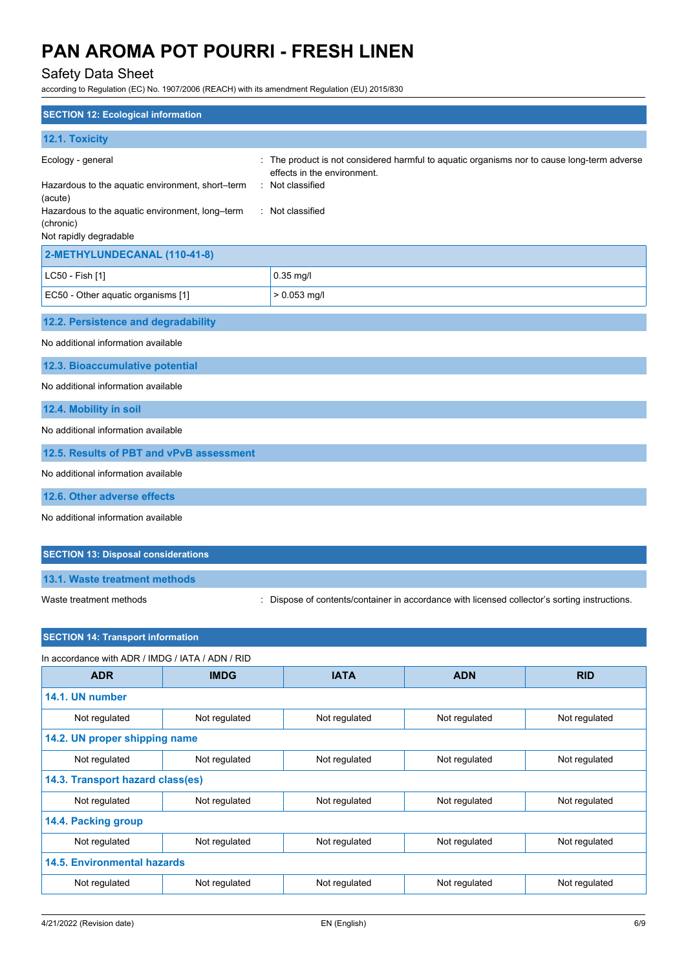# Safety Data Sheet

according to Regulation (EC) No. 1907/2006 (REACH) with its amendment Regulation (EU) 2015/830

| <b>SECTION 12: Ecological information</b>                                                                                                                                  |                                                                                                                                                                |
|----------------------------------------------------------------------------------------------------------------------------------------------------------------------------|----------------------------------------------------------------------------------------------------------------------------------------------------------------|
| 12.1. Toxicity                                                                                                                                                             |                                                                                                                                                                |
| Ecology - general<br>Hazardous to the aquatic environment, short-term<br>(acute)<br>Hazardous to the aquatic environment, long-term<br>(chronic)<br>Not rapidly degradable | The product is not considered harmful to aquatic organisms nor to cause long-term adverse<br>effects in the environment.<br>Not classified<br>: Not classified |
| 2-METHYLUNDECANAL (110-41-8)                                                                                                                                               |                                                                                                                                                                |
| LC50 - Fish [1]                                                                                                                                                            | 0.35 mg/l                                                                                                                                                      |
| EC50 - Other aquatic organisms [1]                                                                                                                                         | $> 0.053$ mg/l                                                                                                                                                 |
| 12.2. Persistence and degradability                                                                                                                                        |                                                                                                                                                                |
| No additional information available                                                                                                                                        |                                                                                                                                                                |
| 12.3. Bioaccumulative potential                                                                                                                                            |                                                                                                                                                                |
| No additional information available                                                                                                                                        |                                                                                                                                                                |
| 12.4. Mobility in soil                                                                                                                                                     |                                                                                                                                                                |
| No additional information available                                                                                                                                        |                                                                                                                                                                |
| 12.5. Results of PBT and vPvB assessment                                                                                                                                   |                                                                                                                                                                |
| No additional information available                                                                                                                                        |                                                                                                                                                                |
| 12.6. Other adverse effects                                                                                                                                                |                                                                                                                                                                |
| No additional information available                                                                                                                                        |                                                                                                                                                                |
| <b>SECTION 13: Disposal considerations</b>                                                                                                                                 |                                                                                                                                                                |

**13.1. Waste treatment methods**

Waste treatment methods : Dispose of contents/container in accordance with licensed collector's sorting instructions.

## **SECTION 14: Transport information**

| In accordance with ADR / IMDG / IATA / ADN / RID |               |               |               |               |
|--------------------------------------------------|---------------|---------------|---------------|---------------|
| <b>ADR</b>                                       | <b>IMDG</b>   | <b>IATA</b>   | <b>ADN</b>    | <b>RID</b>    |
| 14.1. UN number                                  |               |               |               |               |
| Not regulated                                    | Not regulated | Not regulated | Not regulated | Not regulated |
| 14.2. UN proper shipping name                    |               |               |               |               |
| Not regulated                                    | Not regulated | Not regulated | Not regulated | Not regulated |
| 14.3. Transport hazard class(es)                 |               |               |               |               |
| Not regulated                                    | Not regulated | Not regulated | Not regulated | Not regulated |
| 14.4. Packing group                              |               |               |               |               |
| Not regulated                                    | Not regulated | Not regulated | Not regulated | Not regulated |
| <b>14.5. Environmental hazards</b>               |               |               |               |               |
| Not regulated                                    | Not regulated | Not regulated | Not regulated | Not regulated |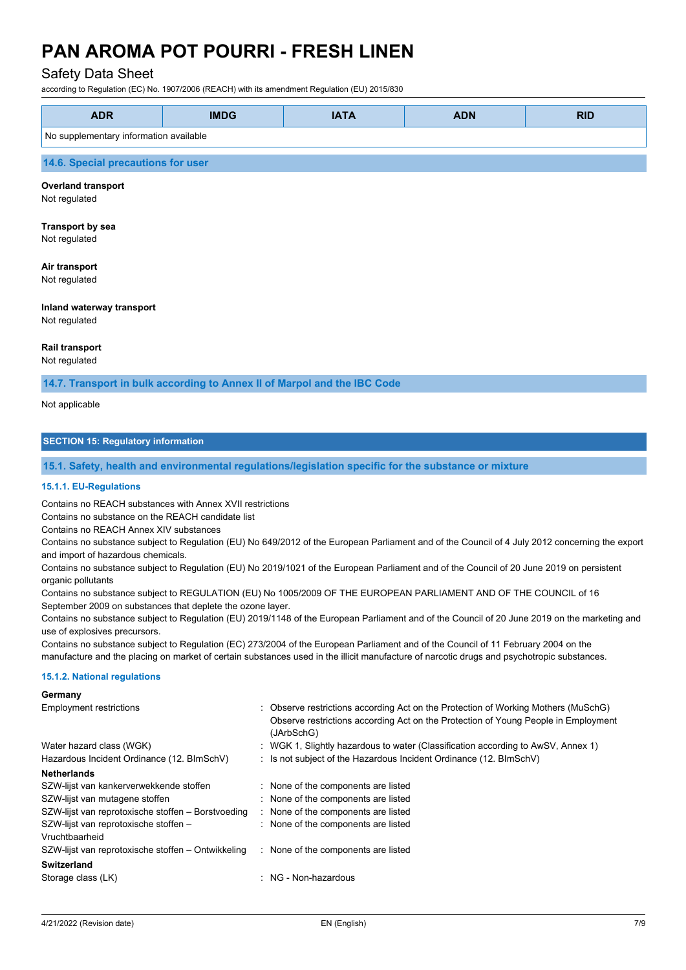## Safety Data Sheet

according to Regulation (EC) No. 1907/2006 (REACH) with its amendment Regulation (EU) 2015/830

| <b>ADR</b>                             | <b>IMDG</b> | <b>IATA</b> | <b>ADN</b> | <b>RID</b> |
|----------------------------------------|-------------|-------------|------------|------------|
| No supplementary information available |             |             |            |            |
| 14.6. Special precautions for user     |             |             |            |            |

#### **Overland transport**

Not regulated

#### **Transport by sea** Not regulated

# **Air transport**

Not regulated

# **Inland waterway transport**

Not regulated

### **Rail transport**

Not regulated

**14.7. Transport in bulk according to Annex II of Marpol and the IBC Code**

Not applicable

## **SECTION 15: Regulatory information**

#### **15.1. Safety, health and environmental regulations/legislation specific for the substance or mixture**

#### **15.1.1. EU-Regulations**

Contains no REACH substances with Annex XVII restrictions

Contains no substance on the REACH candidate list

Contains no REACH Annex XIV substances

Contains no substance subject to Regulation (EU) No 649/2012 of the European Parliament and of the Council of 4 July 2012 concerning the export and import of hazardous chemicals.

Contains no substance subject to Regulation (EU) No 2019/1021 of the European Parliament and of the Council of 20 June 2019 on persistent organic pollutants

Contains no substance subject to REGULATION (EU) No 1005/2009 OF THE EUROPEAN PARLIAMENT AND OF THE COUNCIL of 16 September 2009 on substances that deplete the ozone layer.

Contains no substance subject to Regulation (EU) 2019/1148 of the European Parliament and of the Council of 20 June 2019 on the marketing and use of explosives precursors.

Contains no substance subject to Regulation (EC) 273/2004 of the European Parliament and of the Council of 11 February 2004 on the manufacture and the placing on market of certain substances used in the illicit manufacture of narcotic drugs and psychotropic substances.

#### **15.1.2. National regulations**

#### **Germany**

| <b>Employment restrictions</b><br>Water hazard class (WGK)<br>Hazardous Incident Ordinance (12. BImSchV) | : Observe restrictions according Act on the Protection of Working Mothers (MuSchG)<br>Observe restrictions according Act on the Protection of Young People in Employment<br>(JArbSchG)<br>: WGK 1, Slightly hazardous to water (Classification according to AwSV, Annex 1)<br>: Is not subject of the Hazardous Incident Ordinance (12. BImSchV) |
|----------------------------------------------------------------------------------------------------------|--------------------------------------------------------------------------------------------------------------------------------------------------------------------------------------------------------------------------------------------------------------------------------------------------------------------------------------------------|
| <b>Netherlands</b>                                                                                       |                                                                                                                                                                                                                                                                                                                                                  |
| SZW-lijst van kankerverwekkende stoffen                                                                  | : None of the components are listed                                                                                                                                                                                                                                                                                                              |
| SZW-lijst van mutagene stoffen                                                                           | : None of the components are listed                                                                                                                                                                                                                                                                                                              |
| SZW-lijst van reprotoxische stoffen – Borstvoeding                                                       | : None of the components are listed                                                                                                                                                                                                                                                                                                              |
| SZW-lijst van reprotoxische stoffen -                                                                    | : None of the components are listed                                                                                                                                                                                                                                                                                                              |
| Vruchtbaarheid                                                                                           |                                                                                                                                                                                                                                                                                                                                                  |
| SZW-lijst van reprotoxische stoffen – Ontwikkeling                                                       | : None of the components are listed                                                                                                                                                                                                                                                                                                              |
| Switzerland                                                                                              |                                                                                                                                                                                                                                                                                                                                                  |
| Storage class (LK)                                                                                       | NG - Non-hazardous                                                                                                                                                                                                                                                                                                                               |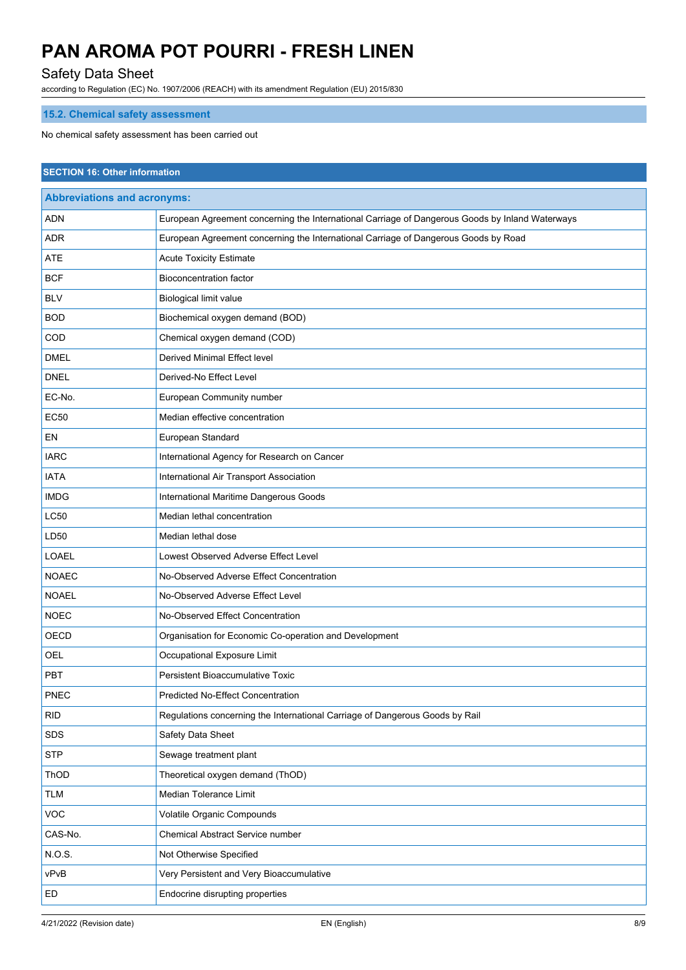# Safety Data Sheet

according to Regulation (EC) No. 1907/2006 (REACH) with its amendment Regulation (EU) 2015/830

# **15.2. Chemical safety assessment**

No chemical safety assessment has been carried out

| <b>SECTION 16: Other information</b> |                                                                                                 |  |  |
|--------------------------------------|-------------------------------------------------------------------------------------------------|--|--|
| <b>Abbreviations and acronyms:</b>   |                                                                                                 |  |  |
| ADN                                  | European Agreement concerning the International Carriage of Dangerous Goods by Inland Waterways |  |  |
| ADR                                  | European Agreement concerning the International Carriage of Dangerous Goods by Road             |  |  |
| <b>ATE</b>                           | <b>Acute Toxicity Estimate</b>                                                                  |  |  |
| <b>BCF</b>                           | <b>Bioconcentration factor</b>                                                                  |  |  |
| <b>BLV</b>                           | Biological limit value                                                                          |  |  |
| <b>BOD</b>                           | Biochemical oxygen demand (BOD)                                                                 |  |  |
| COD                                  | Chemical oxygen demand (COD)                                                                    |  |  |
| <b>DMEL</b>                          | Derived Minimal Effect level                                                                    |  |  |
| <b>DNEL</b>                          | Derived-No Effect Level                                                                         |  |  |
| EC-No.                               | European Community number                                                                       |  |  |
| <b>EC50</b>                          | Median effective concentration                                                                  |  |  |
| EN                                   | European Standard                                                                               |  |  |
| <b>IARC</b>                          | International Agency for Research on Cancer                                                     |  |  |
| <b>IATA</b>                          | International Air Transport Association                                                         |  |  |
| <b>IMDG</b>                          | International Maritime Dangerous Goods                                                          |  |  |
| <b>LC50</b>                          | Median lethal concentration                                                                     |  |  |
| LD50                                 | Median lethal dose                                                                              |  |  |
| <b>LOAEL</b>                         | Lowest Observed Adverse Effect Level                                                            |  |  |
| <b>NOAEC</b>                         | No-Observed Adverse Effect Concentration                                                        |  |  |
| <b>NOAEL</b>                         | No-Observed Adverse Effect Level                                                                |  |  |
| <b>NOEC</b>                          | No-Observed Effect Concentration                                                                |  |  |
| OECD                                 | Organisation for Economic Co-operation and Development                                          |  |  |
| OEL                                  | Occupational Exposure Limit                                                                     |  |  |
| PBT                                  | Persistent Bioaccumulative Toxic                                                                |  |  |
| PNEC                                 | <b>Predicted No-Effect Concentration</b>                                                        |  |  |
| <b>RID</b>                           | Regulations concerning the International Carriage of Dangerous Goods by Rail                    |  |  |
| <b>SDS</b>                           | Safety Data Sheet                                                                               |  |  |
| <b>STP</b>                           | Sewage treatment plant                                                                          |  |  |
| ThOD                                 | Theoretical oxygen demand (ThOD)                                                                |  |  |
| <b>TLM</b>                           | Median Tolerance Limit                                                                          |  |  |
| VOC                                  | Volatile Organic Compounds                                                                      |  |  |
| CAS-No.                              | Chemical Abstract Service number                                                                |  |  |
| N.O.S.                               | Not Otherwise Specified                                                                         |  |  |
| vPvB                                 | Very Persistent and Very Bioaccumulative                                                        |  |  |
| ED                                   | Endocrine disrupting properties                                                                 |  |  |
|                                      |                                                                                                 |  |  |